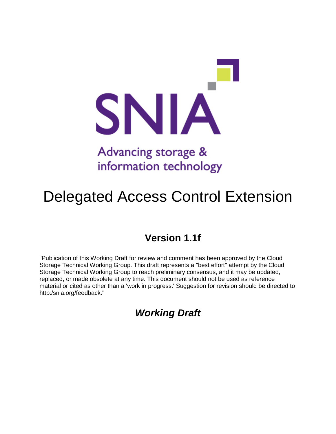

# Advancing storage & information technology

# Delegated Access Control Extension

### **Version 1.1f**

"Publication of this Working Draft for review and comment has been approved by the Cloud Storage Technical Working Group. This draft represents a "best effort" attempt by the Cloud Storage Technical Working Group to reach preliminary consensus, and it may be updated, replaced, or made obsolete at any time. This document should not be used as reference material or cited as other than a 'work in progress.' Suggestion for revision should be directed to http:/snia.org/feedback."

### *Working Draft*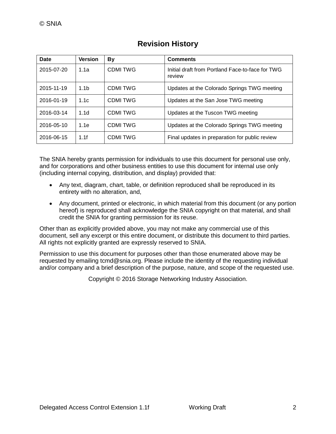| Date       | <b>Version</b>   | Вy             | <b>Comments</b>                                            |
|------------|------------------|----------------|------------------------------------------------------------|
| 2015-07-20 | 1.1a             | <b>CDMITWG</b> | Initial draft from Portland Face-to-face for TWG<br>review |
| 2015-11-19 | 1.1 <sub>b</sub> | CDMI TWG       | Updates at the Colorado Springs TWG meeting                |
| 2016-01-19 | 1.1c             | CDMI TWG       | Updates at the San Jose TWG meeting                        |
| 2016-03-14 | 1.1d             | CDMI TWG       | Updates at the Tuscon TWG meeting                          |
| 2016-05-10 | 1.1e             | CDMI TWG       | Updates at the Colorado Springs TWG meeting                |
| 2016-06-15 | 1.1f             | <b>CDMITWG</b> | Final updates in preparation for public review             |

### **Revision History**

The SNIA hereby grants permission for individuals to use this document for personal use only, and for corporations and other business entities to use this document for internal use only (including internal copying, distribution, and display) provided that:

- Any text, diagram, chart, table, or definition reproduced shall be reproduced in its entirety with no alteration, and,
- Any document, printed or electronic, in which material from this document (or any portion hereof) is reproduced shall acknowledge the SNIA copyright on that material, and shall credit the SNIA for granting permission for its reuse.

Other than as explicitly provided above, you may not make any commercial use of this document, sell any excerpt or this entire document, or distribute this document to third parties. All rights not explicitly granted are expressly reserved to SNIA.

Permission to use this document for purposes other than those enumerated above may be requested by emailing tcmd@snia.org. Please include the identity of the requesting individual and/or company and a brief description of the purpose, nature, and scope of the requested use.

Copyright © 2016 Storage Networking Industry Association.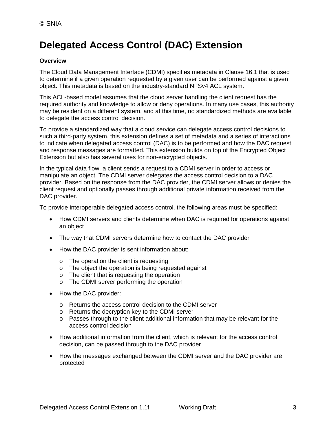## **Delegated Access Control (DAC) Extension**

#### **Overview**

The Cloud Data Management Interface (CDMI) specifies metadata in Clause 16.1 that is used to determine if a given operation requested by a given user can be performed against a given object. This metadata is based on the industry-standard NFSv4 ACL system.

This ACL-based model assumes that the cloud server handling the client request has the required authority and knowledge to allow or deny operations. In many use cases, this authority may be resident on a different system, and at this time, no standardized methods are available to delegate the access control decision.

To provide a standardized way that a cloud service can delegate access control decisions to such a third-party system, this extension defines a set of metadata and a series of interactions to indicate when delegated access control (DAC) is to be performed and how the DAC request and response messages are formatted. This extension builds on top of the Encrypted Object Extension but also has several uses for non-encrypted objects.

In the typical data flow, a client sends a request to a CDMI server in order to access or manipulate an object. The CDMI server delegates the access control decision to a DAC provider. Based on the response from the DAC provider, the CDMI server allows or denies the client request and optionally passes through additional private information received from the DAC provider.

To provide interoperable delegated access control, the following areas must be specified:

- How CDMI servers and clients determine when DAC is required for operations against an object
- The way that CDMI servers determine how to contact the DAC provider
- How the DAC provider is sent information about:
	- o The operation the client is requesting
	- o The object the operation is being requested against
	- o The client that is requesting the operation
	- o The CDMI server performing the operation
- How the DAC provider:
	- o Returns the access control decision to the CDMI server
	- o Returns the decryption key to the CDMI server
	- $\circ$  Passes through to the client additional information that may be relevant for the access control decision
- How additional information from the client, which is relevant for the access control decision, can be passed through to the DAC provider
- How the messages exchanged between the CDMI server and the DAC provider are protected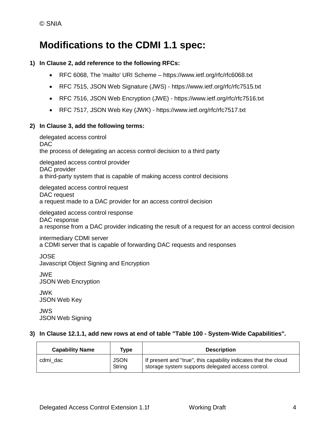### **Modifications to the CDMI 1.1 spec:**

#### **1) In Clause 2, add reference to the following RFCs:**

- RFC 6068, The 'mailto' URI Scheme https://www.ietf.org/rfc/rfc6068.txt
- RFC 7515, JSON Web Signature (JWS) https://www.ietf.org/rfc/rfc7515.txt
- RFC 7516, JSON Web Encryption (JWE) https://www.ietf.org/rfc/rfc7516.txt
- RFC 7517, JSON Web Key (JWK) https://www.ietf.org/rfc/rfc7517.txt

#### **2) In Clause 3, add the following terms:**

delegated access control DAC the process of delegating an access control decision to a third party delegated access control provider DAC provider a third-party system that is capable of making access control decisions delegated access control request DAC request a request made to a DAC provider for an access control decision delegated access control response

DAC response a response from a DAC provider indicating the result of a request for an access control decision

### intermediary CDMI server

a CDMI server that is capable of forwarding DAC requests and responses

JOSE Javascript Object Signing and Encryption

JWE JSON Web Encryption

JWK JSON Web Key

JWS JSON Web Signing

#### **3) In Clause 12.1.1, add new rows at end of table "Table 100 - System-Wide Capabilities".**

| <b>Capability Name</b> | Type                  | <b>Description</b>                                                                                                   |
|------------------------|-----------------------|----------------------------------------------------------------------------------------------------------------------|
| cdmi dac               | <b>JSON</b><br>String | If present and "true", this capability indicates that the cloud<br>storage system supports delegated access control. |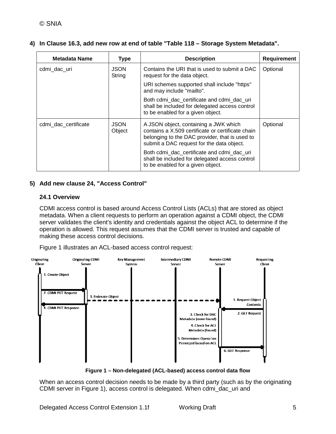|  |  | 4) In Clause 16.3, add new row at end of table "Table 118 – Storage System Metadata". |  |  |  |
|--|--|---------------------------------------------------------------------------------------|--|--|--|
|--|--|---------------------------------------------------------------------------------------|--|--|--|

| <b>Metadata Name</b> | <b>Type</b>           | <b>Description</b>                                                                                                                                                                        | <b>Requirement</b> |
|----------------------|-----------------------|-------------------------------------------------------------------------------------------------------------------------------------------------------------------------------------------|--------------------|
| cdmi_dac_uri         | <b>JSON</b><br>String | Contains the URI that is used to submit a DAC<br>request for the data object.                                                                                                             | Optional           |
|                      |                       | URI schemes supported shall include "https"<br>and may include "mailto".                                                                                                                  |                    |
|                      |                       | Both cdmi dac certificate and cdmi dac uri<br>shall be included for delegated access control<br>to be enabled for a given object.                                                         |                    |
| cdmi dac certificate | <b>JSON</b><br>Object | A JSON object, containing a JWK which<br>contains a X.509 certificate or certificate chain<br>belonging to the DAC provider, that is used to<br>submit a DAC request for the data object. | Optional           |
|                      |                       | Both cdmi dac certificate and cdmi dac uri<br>shall be included for delegated access control<br>to be enabled for a given object.                                                         |                    |

#### **5) Add new clause 24, "Access Control"**

#### **24.1 Overview**

CDMI access control is based around Access Control Lists (ACLs) that are stored as object metadata. When a client requests to perform an operation against a CDMI object, the CDMI server validates the client's identity and credentials against the object ACL to determine if the operation is allowed. This request assumes that the CDMI server is trusted and capable of making these access control decisions.

Figure 1 illustrates an ACL-based access control request:



**Figure 1 – Non-delegated (ACL-based) access control data flow**

When an access control decision needs to be made by a third party (such as by the originating CDMI server in Figure 1), access control is delegated. When cdmi\_dac\_uri and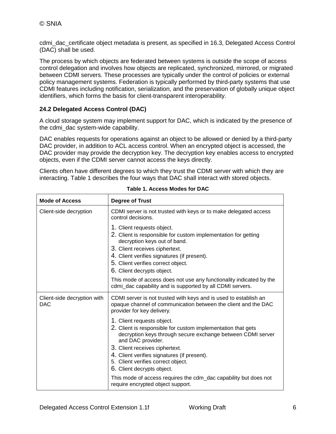cdmi\_dac\_certificate object metadata is present, as specified in 16.3, Delegated Access Control (DAC) shall be used.

The process by which objects are federated between systems is outside the scope of access control delegation and involves how objects are replicated, synchronized, mirrored, or migrated between CDMI servers. These processes are typically under the control of policies or external policy management systems. Federation is typically performed by third-party systems that use CDMI features including notification, serialization, and the preservation of globally unique object identifiers, which forms the basis for client-transparent interoperability.

#### **24.2 Delegated Access Control (DAC)**

A cloud storage system may implement support for DAC, which is indicated by the presence of the cdmi\_dac system-wide capability.

DAC enables requests for operations against an object to be allowed or denied by a third-party DAC provider, in addition to ACL access control. When an encrypted object is accessed, the DAC provider may provide the decryption key. The decryption key enables access to encrypted objects, even if the CDMI server cannot access the keys directly.

Clients often have different degrees to which they trust the CDMI server with which they are interacting. Table 1 describes the four ways that DAC shall interact with stored objects.

| <b>Mode of Access</b>                     | <b>Degree of Trust</b>                                                                                                                                                                                                                                                                                                                                                                                                |
|-------------------------------------------|-----------------------------------------------------------------------------------------------------------------------------------------------------------------------------------------------------------------------------------------------------------------------------------------------------------------------------------------------------------------------------------------------------------------------|
| Client-side decryption                    | CDMI server is not trusted with keys or to make delegated access<br>control decisions.                                                                                                                                                                                                                                                                                                                                |
|                                           | 1. Client requests object.<br>2. Client is responsible for custom implementation for getting<br>decryption keys out of band.<br>3. Client receives ciphertext.<br>4. Client verifies signatures (if present).<br>5. Client verifies correct object.<br>6. Client decrypts object.<br>This mode of access does not use any functionality indicated by the<br>cdmi_dac capability and is supported by all CDMI servers. |
| Client-side decryption with<br><b>DAC</b> | CDMI server is not trusted with keys and is used to establish an<br>opaque channel of communication between the client and the DAC<br>provider for key delivery.                                                                                                                                                                                                                                                      |
|                                           | 1. Client requests object.<br>2. Client is responsible for custom implementation that gets<br>decryption keys through secure exchange between CDMI server<br>and DAC provider.<br>3. Client receives ciphertext.<br>4. Client verifies signatures (if present).<br>5. Client verifies correct object.<br>6. Client decrypts object.                                                                                   |
|                                           | This mode of access requires the cdm_dac capability but does not<br>require encrypted object support.                                                                                                                                                                                                                                                                                                                 |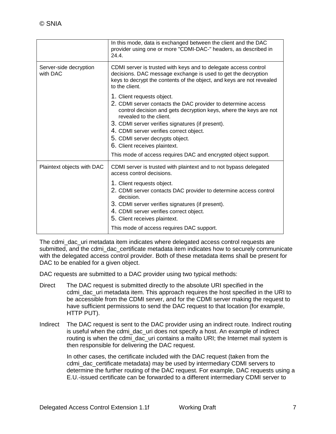|                                    | In this mode, data is exchanged between the client and the DAC<br>provider using one or more "CDMI-DAC-" headers, as described in<br>24.4.                                                                                                                                                                                                                                                                                      |
|------------------------------------|---------------------------------------------------------------------------------------------------------------------------------------------------------------------------------------------------------------------------------------------------------------------------------------------------------------------------------------------------------------------------------------------------------------------------------|
| Server-side decryption<br>with DAC | CDMI server is trusted with keys and to delegate access control<br>decisions. DAC message exchange is used to get the decryption<br>keys to decrypt the contents of the object, and keys are not revealed<br>to the client.                                                                                                                                                                                                     |
|                                    | 1. Client requests object.<br>2. CDMI server contacts the DAC provider to determine access<br>control decision and gets decryption keys, where the keys are not<br>revealed to the client.<br>3. CDMI server verifies signatures (if present).<br>4. CDMI server verifies correct object.<br>5. CDMI server decrypts object.<br>6. Client receives plaintext.<br>This mode of access requires DAC and encrypted object support. |
| Plaintext objects with DAC         | CDMI server is trusted with plaintext and to not bypass delegated<br>access control decisions.<br>1. Client requests object.<br>2. CDMI server contacts DAC provider to determine access control<br>decision.<br>3. CDMI server verifies signatures (if present).<br>4. CDMI server verifies correct object.<br>5. Client receives plaintext.<br>This mode of access requires DAC support.                                      |

The cdmi dac uri metadata item indicates where delegated access control requests are submitted, and the cdmi\_dac\_certificate metadata item indicates how to securely communicate with the delegated access control provider. Both of these metadata items shall be present for DAC to be enabled for a given object.

DAC requests are submitted to a DAC provider using two typical methods:

- Direct The DAC request is submitted directly to the absolute URI specified in the cdmi\_dac\_uri metadata item. This approach requires the host specified in the URI to be accessible from the CDMI server, and for the CDMI server making the request to have sufficient permissions to send the DAC request to that location (for example, HTTP PUT).
- Indirect The DAC request is sent to the DAC provider using an indirect route. Indirect routing is useful when the cdmi dac uri does not specify a host. An example of indirect routing is when the cdmi dac uri contains a mailto URI; the Internet mail system is then responsible for delivering the DAC request.

In other cases, the certificate included with the DAC request (taken from the cdmi\_dac\_certificate metadata) may be used by intermediary CDMI servers to determine the further routing of the DAC request. For example, DAC requests using a E.U.-issued certificate can be forwarded to a different intermediary CDMI server to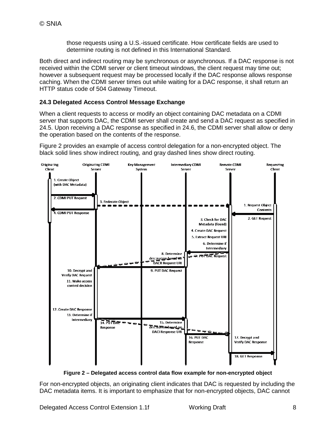those requests using a U.S.-issued certificate. How certificate fields are used to determine routing is not defined in this International Standard.

Both direct and indirect routing may be synchronous or asynchronous. If a DAC response is not received within the CDMI server or client timeout windows, the client request may time out; however a subsequent request may be processed locally if the DAC response allows response caching. When the CDMI server times out while waiting for a DAC response, it shall return an HTTP status code of 504 Gateway Timeout.

#### **24.3 Delegated Access Control Message Exchange**

When a client requests to access or modify an object containing DAC metadata on a CDMI server that supports DAC, the CDMI server shall create and send a DAC request as specified in 24.5. Upon receiving a DAC response as specified in 24.6, the CDMI server shall allow or deny the operation based on the contents of the response.

Figure 2 provides an example of access control delegation for a non-encrypted object. The black solid lines show indirect routing, and gray dashed lines show direct routing.



**Figure 2 – Delegated access control data flow example for non-encrypted object**

For non-encrypted objects, an originating client indicates that DAC is requested by including the DAC metadata items. It is important to emphasize that for non-encrypted objects, DAC cannot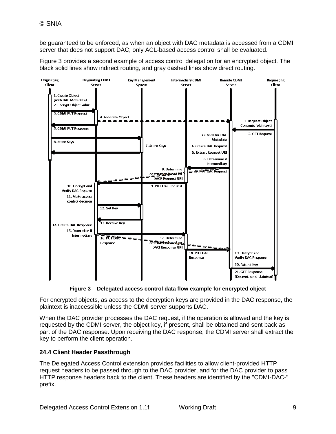be guaranteed to be enforced, as when an object with DAC metadata is accessed from a CDMI server that does not support DAC; only ACL-based access control shall be evaluated.

Figure 3 provides a second example of access control delegation for an encrypted object. The black solid lines show indirect routing, and gray dashed lines show direct routing.



**Figure 3 – Delegated access control data flow example for encrypted object**

For encrypted objects, as access to the decryption keys are provided in the DAC response, the plaintext is inaccessible unless the CDMI server supports DAC.

When the DAC provider processes the DAC request, if the operation is allowed and the key is requested by the CDMI server, the object key, if present, shall be obtained and sent back as part of the DAC response. Upon receiving the DAC response, the CDMI server shall extract the key to perform the client operation.

#### **24.4 Client Header Passthrough**

The Delegated Access Control extension provides facilities to allow client-provided HTTP request headers to be passed through to the DAC provider, and for the DAC provider to pass HTTP response headers back to the client. These headers are identified by the "CDMI-DAC-" prefix.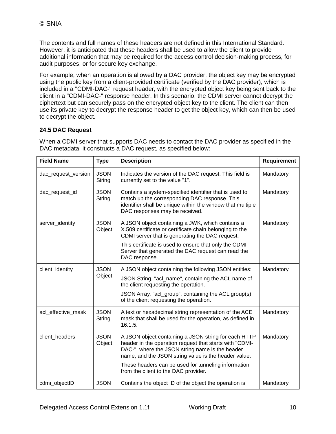The contents and full names of these headers are not defined in this International Standard. However, it is anticipated that these headers shall be used to allow the client to provide additional information that may be required for the access control decision-making process, for audit purposes, or for secure key exchange.

For example, when an operation is allowed by a DAC provider, the object key may be encrypted using the public key from a client-provided certificate (verified by the DAC provider), which is included in a "CDMI-DAC-" request header, with the encrypted object key being sent back to the client in a "CDMI-DAC-" response header. In this scenario, the CDMI server cannot decrypt the ciphertext but can securely pass on the encrypted object key to the client. The client can then use its private key to decrypt the response header to get the object key, which can then be used to decrypt the object.

#### **24.5 DAC Request**

When a CDMI server that supports DAC needs to contact the DAC provider as specified in the DAC metadata, it constructs a DAC request, as specified below:

| <b>Field Name</b>   | <b>Type</b>           | <b>Description</b>                                                                                                                                                                                                                                                                                                        | <b>Requirement</b> |
|---------------------|-----------------------|---------------------------------------------------------------------------------------------------------------------------------------------------------------------------------------------------------------------------------------------------------------------------------------------------------------------------|--------------------|
| dac_request_version | <b>JSON</b><br>String | Indicates the version of the DAC request. This field is<br>currently set to the value "1".                                                                                                                                                                                                                                | Mandatory          |
| dac_request_id      | <b>JSON</b><br>String | Contains a system-specified identifier that is used to<br>match up the corresponding DAC response. This<br>identifier shall be unique within the window that multiple<br>DAC responses may be received.                                                                                                                   | Mandatory          |
| server_identity     | <b>JSON</b><br>Object | A JSON object containing a JWK, which contains a<br>X.509 certificate or certificate chain belonging to the<br>CDMI server that is generating the DAC request.                                                                                                                                                            | Mandatory          |
|                     |                       | This certificate is used to ensure that only the CDMI<br>Server that generated the DAC request can read the<br>DAC response.                                                                                                                                                                                              |                    |
| client_identity     | <b>JSON</b><br>Object | A JSON object containing the following JSON entities:<br>JSON String, "acl_name", containing the ACL name of<br>the client requesting the operation.<br>JSON Array, "acl_group", containing the ACL group(s)<br>of the client requesting the operation.                                                                   | Mandatory          |
| acl_effective_mask  | <b>JSON</b><br>String | A text or hexadecimal string representation of the ACE<br>mask that shall be used for the operation, as defined in<br>16.1.5.                                                                                                                                                                                             | Mandatory          |
| client_headers      | <b>JSON</b><br>Object | A JSON object containing a JSON string for each HTTP<br>header in the operation request that starts with "CDMI-<br>DAC-", where the JSON string name is the header<br>name, and the JSON string value is the header value.<br>These headers can be used for tunneling information<br>from the client to the DAC provider. | Mandatory          |
| cdmi_objectID       | <b>JSON</b>           | Contains the object ID of the object the operation is                                                                                                                                                                                                                                                                     | Mandatory          |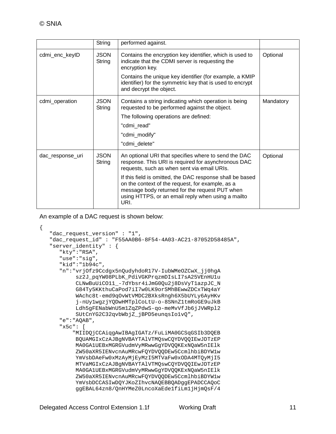|                  | String                | performed against.                                                                                                                                                                                                                                                                                                                                                                          |           |
|------------------|-----------------------|---------------------------------------------------------------------------------------------------------------------------------------------------------------------------------------------------------------------------------------------------------------------------------------------------------------------------------------------------------------------------------------------|-----------|
| cdmi_enc_keyID   | <b>JSON</b><br>String | Contains the encryption key identifier, which is used to<br>indicate that the CDMI server is requesting the<br>encryption key.<br>Contains the unique key identifier (for example, a KMIP<br>identifier) for the symmetric key that is used to encrypt<br>and decrypt the object.                                                                                                           | Optional  |
| cdmi_operation   | <b>JSON</b><br>String | Contains a string indicating which operation is being<br>requested to be performed against the object.<br>The following operations are defined:<br>"cdmi read"<br>"cdmi_modify"<br>"cdmi delete"                                                                                                                                                                                            | Mandatory |
| dac_response_uri | <b>JSON</b><br>String | An optional URI that specifies where to send the DAC<br>response. This URI is required for asynchronous DAC<br>requests, such as when sent via email URIs.<br>If this field is omitted, the DAC response shall be based<br>on the context of the request, for example, as a<br>message body returned for the request PUT when<br>using HTTPS, or an email reply when using a mailto<br>URI. | Optional  |

An example of a DAC request is shown below:

```
{
    "dac_request_version" : "1",
    "dac_request_id" : "F55AA0B6-8F54-4A03-AC21-87052D58485A",
    "server_identity" : {
       "kty":"RSA",
       "use":"sig",
       "kid":"1b94c",
       "n":"vrjOfz9Ccdgx5nQudyhdoR17V-IubWMeOZCwX_jj0hgA
            sz2J_pqYW08PLbK_PdiVGKPrqzmDIsLI7sA25VEnHU1u
            CLNwBuUiCO11_-7dYbsr4iJmG0Qu2j8DsVyT1azpJC_N
            G84Ty5KKthuCaPod7iI7w0LK9orSMhBEwwZDCxTWq4aY
            WAchc8t-emd9qOvWtVMDC2BXksRngh6X5bUYLy6AyHKv
            j-nUy1wgzjYQDwHMTplCoLtU-o-8SNnZ1tmRoGE9uJkB
            Ldh5gFENabWnU5m1ZqZPdwS-qo-meMvVfJb6jJVWRpl2
            SUtCnYG2C32qvbWbjZ_jBPD5eunqsIo1vQ",
       "e":"AQAB",
       "x5c": [
           "MIIDQjCCAiqgAwIBAgIGATz/FuLiMA0GCSqGSIb3DQEB
            BQUAMGIxCzAJBgNVBAYTAlVTMQswCQYDVQQIEwJDTzEP
            MA0GA1UEBxMGRGVudmVyMRwwGgYDVQQKExNQaW5nIElk
            ZW50aXR5IENvcnAuMRcwFQYDVQQDEw5CcmlhbiBDYW1w
            YmVsbDAeFw0xMzAyMjEyMzI5MTVaFw0xODA4MTQyMjI5
            MTVaMGIxCzAJBgNVBAYTAlVTMQswCQYDVQQIEwJDTzEP
            MA0GA1UEBxMGRGVudmVyMRwwGgYDVQQKExNQaW5nIElk
            ZW50aXR5IENvcnAuMRcwFQYDVQQDEw5CcmlhbiBDYW1w
            YmVsbDCCASIwDQYJKoZIhvcNAQEBBQADggEPADCCAQoC
            ggEBAL64zn8/QnHYMeZ0LncoXaEde1fiLm1jHjmQsF/4
```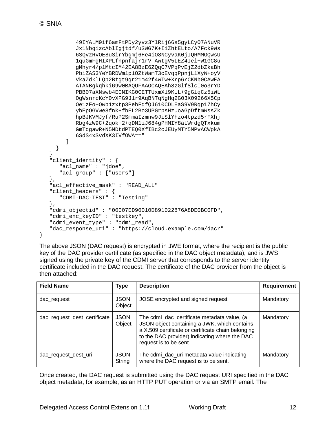```
 49IYALM9if6amFtPDy2yvz3YlRij66s5gyLCyO7ANuVR
            Jx1NbgizcAblIgjtdf/u3WG7K+IiZhtELto/A7Fck9Ws
            6SQvzRvOE8uSirYbgmj6He4iO8NCyvaK0jIQRMMGQwsU
            1quGmFgHIXPLfnpnfajr1rVTAwtgV5LEZ4Iel+W1GC8u
            gMhyr4/p1MtcIM42EA8BzE6ZQqC7VPqPvEjZ2dbZkaBh
            PbiZAS3YeYBRDWm1p1OZtWamT3cEvqqPpnjL1XyW+oyV
            VkaZdklLQp2Btgt9qr21m42f4wTw+Xrp6rCKNb0CAwEA
            ATANBgkqhkiG9w0BAQUFAAOCAQEAh8zGlfSlcI0o3rYD
            PBB07aXNswb4ECNIKG0CETTUxmXl9KUL+9gGlqCz5iWL
            OgWsnrcKcY0vXPG9J1r9AqBNTqNgHq2G03X09266X5Cp
            Oe1zFo+Owb1zxtp3PehFdfQJ610CDLEaS9V9Rqp17hCy
            ybEpOGVwe8fnk+fbEL2Bo3UPGrpsHzUoaGpDftmWssZk
            hpBJKVMJyf/RuP2SmmaIzmnw9JiSlYhzo4tpzd5rFXhj
            Rbg4zW9C+2qok+2+qDM1iJ684gPHMIY8aLWrdgQTxkum
            GmTqgawR+N5MDtdPTEQ0XfIBc2cJEUyMTY5MPvACWpkA
         6SdS4xSvdXK3IVfOWA=="
[[]
      }
   }
    "client_identity" : {
       "acl_name" : "jdoe",
       "acl_group" : ["users"]
   },
   "acl effective mask" : "READ ALL"
    "client_headers" : {
      "CDMI-DAC-TEST" : "Testing"
   },
   "cdmi_objectid" : "00007ED90010D891022876A8DE0BC0FD",
   "cdmi_enc_keyID" : "testkey",
   "cdmi_event_type" : "cdmi_read",
   "dac_response_uri" : "https://cloud.example.com/dacr"
}
```
The above JSON (DAC request) is encrypted in JWE format, where the recipient is the public key of the DAC provider certificate (as specified in the DAC object metadata), and is JWS signed using the private key of the CDMI server that corresponds to the server identity certificate included in the DAC request. The certificate of the DAC provider from the object is then attached:

| <b>Field Name</b>            | Type                  | <b>Description</b>                                                                                                                                                                                                           | <b>Requirement</b> |
|------------------------------|-----------------------|------------------------------------------------------------------------------------------------------------------------------------------------------------------------------------------------------------------------------|--------------------|
| dac_request                  | <b>JSON</b><br>Object | JOSE encrypted and signed request                                                                                                                                                                                            | Mandatory          |
| dac_request_dest_certificate | <b>JSON</b><br>Object | The cdmi_dac_certificate metadata value, (a<br>JSON object containing a JWK, which contains<br>a X.509 certificate or certificate chain belonging<br>to the DAC provider) indicating where the DAC<br>request is to be sent. | Mandatory          |
| dac_request_dest_uri         | <b>JSON</b><br>String | The cdmi_dac_uri metadata value indicating<br>where the DAC request is to be sent.                                                                                                                                           | Mandatory          |

Once created, the DAC request is submitted using the DAC request URI specified in the DAC object metadata, for example, as an HTTP PUT operation or via an SMTP email. The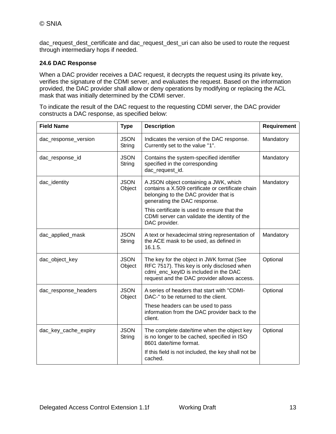dac\_request\_dest\_certificate and dac\_request\_dest\_uri can also be used to route the request through intermediary hops if needed.

#### **24.6 DAC Response**

When a DAC provider receives a DAC request, it decrypts the request using its private key, verifies the signature of the CDMI server, and evaluates the request. Based on the information provided, the DAC provider shall allow or deny operations by modifying or replacing the ACL mask that was initially determined by the CDMI server.

To indicate the result of the DAC request to the requesting CDMI server, the DAC provider constructs a DAC response, as specified below:

| <b>Field Name</b>    | <b>Type</b>           | <b>Description</b>                                                                                                                                                                                                                                                 | <b>Requirement</b> |
|----------------------|-----------------------|--------------------------------------------------------------------------------------------------------------------------------------------------------------------------------------------------------------------------------------------------------------------|--------------------|
| dac_response_version | <b>JSON</b><br>String | Indicates the version of the DAC response.<br>Currently set to the value "1".                                                                                                                                                                                      | Mandatory          |
| dac_response_id      | <b>JSON</b><br>String | Contains the system-specified identifier<br>specified in the corresponding<br>dac_request_id.                                                                                                                                                                      | Mandatory          |
| dac_identity         | <b>JSON</b><br>Object | A JSON object containing a JWK, which<br>contains a X.509 certificate or certificate chain<br>belonging to the DAC provider that is<br>generating the DAC response.<br>This certificate is used to ensure that the<br>CDMI server can validate the identity of the | Mandatory          |
|                      |                       | DAC provider.                                                                                                                                                                                                                                                      |                    |
| dac_applied_mask     | <b>JSON</b><br>String | A text or hexadecimal string representation of<br>the ACE mask to be used, as defined in<br>16.1.5.                                                                                                                                                                | Mandatory          |
| dac_object_key       | <b>JSON</b><br>Object | The key for the object in JWK format (See<br>RFC 7517). This key is only disclosed when<br>cdmi_enc_keyID is included in the DAC<br>request and the DAC provider allows access.                                                                                    | Optional           |
| dac_response_headers | <b>JSON</b><br>Object | A series of headers that start with "CDMI-<br>DAC-" to be returned to the client.                                                                                                                                                                                  | Optional           |
|                      |                       | These headers can be used to pass<br>information from the DAC provider back to the<br>client.                                                                                                                                                                      |                    |
| dac_key_cache_expiry | <b>JSON</b><br>String | The complete date/time when the object key<br>is no longer to be cached, specified in ISO<br>8601 date/time format.                                                                                                                                                | Optional           |
|                      |                       | If this field is not included, the key shall not be<br>cached.                                                                                                                                                                                                     |                    |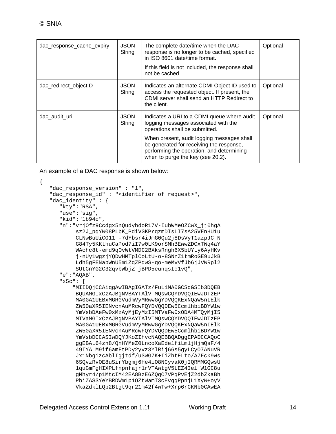| dac_response_cache_expiry | <b>JSON</b><br>String | The complete date/time when the DAC<br>response is no longer to be cached, specified<br>in ISO 8601 date/time format.<br>If this field is not included, the response shall<br>not be cached. | Optional |
|---------------------------|-----------------------|----------------------------------------------------------------------------------------------------------------------------------------------------------------------------------------------|----------|
| dac_redirect_objectID     | <b>JSON</b><br>String | Indicates an alternate CDMI Object ID used to<br>access the requested object. If present, the<br>CDMI server shall send an HTTP Redirect to<br>the client.                                   | Optional |
| dac audit uri             | <b>JSON</b><br>String | Indicates a URI to a CDMI queue where audit<br>logging messages associated with the<br>operations shall be submitted.                                                                        | Optional |
|                           |                       | When present, audit logging messages shall<br>be generated for receiving the response,<br>performing the operation, and determining<br>when to purge the key (see 20.2).                     |          |

An example of a DAC response is shown below:

```
{
   "dac response version" : "1",
    "dac_response_id" : "<identifier of request>",
    "dac_identity" : {
       "kty":"RSA",
       "use":"sig",
       "kid":"1b94c",
       "n":"vrjOfz9Ccdgx5nQudyhdoR17V-IubWMeOZCwX_jj0hgA
            sz2J_pqYW08PLbK_PdiVGKPrqzmDIsLI7sA25VEnHU1u
            CLNwBuUiCO11_-7dYbsr4iJmG0Qu2j8DsVyT1azpJC_N
            G84Ty5KKthuCaPod7iI7w0LK9orSMhBEwwZDCxTWq4aY
            WAchc8t-emd9qOvWtVMDC2BXksRngh6X5bUYLy6AyHKv
            j-nUy1wgzjYQDwHMTplCoLtU-o-8SNnZ1tmRoGE9uJkB
            Ldh5gFENabWnU5m1ZqZPdwS-qo-meMvVfJb6jJVWRpl2
            SUtCnYG2C32qvbWbjZ_jBPD5eunqsIo1vQ",
       "e":"AQAB",
       "x5c": [
           "MIIDQjCCAiqgAwIBAgIGATz/FuLiMA0GCSqGSIb3DQEB
            BQUAMGIxCzAJBgNVBAYTAlVTMQswCQYDVQQIEwJDTzEP
            MA0GA1UEBxMGRGVudmVyMRwwGgYDVQQKExNQaW5nIElk
            ZW50aXR5IENvcnAuMRcwFQYDVQQDEw5CcmlhbiBDYW1w
            YmVsbDAeFw0xMzAyMjEyMzI5MTVaFw0xODA4MTQyMjI5
            MTVaMGIxCzAJBgNVBAYTAlVTMQswCQYDVQQIEwJDTzEP
            MA0GA1UEBxMGRGVudmVyMRwwGgYDVQQKExNQaW5nIElk
            ZW50aXR5IENvcnAuMRcwFQYDVQQDEw5CcmlhbiBDYW1w
            YmVsbDCCASIwDQYJKoZIhvcNAQEBBQADggEPADCCAQoC
            ggEBAL64zn8/QnHYMeZ0LncoXaEde1fiLm1jHjmQsF/4
            49IYALM9if6amFtPDy2yvz3YlRij66s5gyLCyO7ANuVR
            Jx1NbgizcAblIgjtdf/u3WG7K+IiZhtELto/A7Fck9Ws
            6SQvzRvOE8uSirYbgmj6He4iO8NCyvaK0jIQRMMGQwsU
            1quGmFgHIXPLfnpnfajr1rVTAwtgV5LEZ4Iel+W1GC8u
            gMhyr4/p1MtcIM42EA8BzE6ZQqC7VPqPvEjZ2dbZkaBh
            PbiZAS3YeYBRDWm1p1OZtWamT3cEvqqPpnjL1XyW+oyV
            VkaZdklLQp2Btgt9qr21m42f4wTw+Xrp6rCKNb0CAwEA
```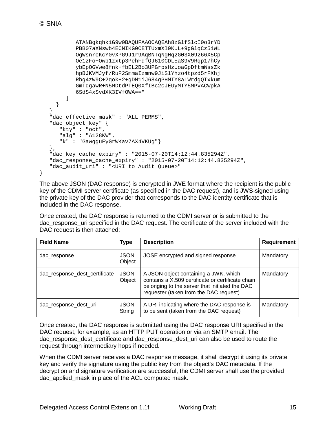}

```
 ATANBgkqhkiG9w0BAQUFAAOCAQEAh8zGlfSlcI0o3rYD
           PBB07aXNswb4ECNIKG0CETTUxmXl9KUL+9gGlqCz5iWL
            OgWsnrcKcY0vXPG9J1r9AqBNTqNgHq2G03X09266X5Cp
           Oe1zFo+Owb1zxtp3PehFdfQJ610CDLEaS9V9Rqp17hCy
           ybEpOGVwe8fnk+fbEL2Bo3UPGrpsHzUoaGpDftmWssZk
           hpBJKVMJyf/RuP2SmmaIzmnw9JiSlYhzo4tpzd5rFXhj
            Rbg4zW9C+2qok+2+qDM1iJ684gPHMIY8aLWrdgQTxkum
           GmTqgawR+N5MDtdPTEQ0XfIBc2cJEUyMTY5MPvACWpkA
         6SdS4xSvdXK3IVfOWA=="
 ]
     }
   }
    "dac_effective_mask" : "ALL_PERMS",
   "dac_object_key" {
       "kty" : "oct",
       "alg" : "A128KW",
       "k" : "GawgguFyGrWKav7AX4VKUg"}
   },
    "dac_key_cache_expiry" : "2015-07-20T14:12:44.835294Z",
   "dac_response_cache_expiry" : "2015-07-20T14:12:44.835294Z",
   "dac_audit_uri" : "<URI to Audit Queue>"
```
The above JSON (DAC response) is encrypted in JWE format where the recipient is the public key of the CDMI server certificate (as specified in the DAC request), and is JWS-signed using the private key of the DAC provider that corresponds to the DAC identity certificate that is included in the DAC response.

Once created, the DAC response is returned to the CDMI server or is submitted to the dac\_response\_uri specified in the DAC request. The certificate of the server included with the DAC request is then attached:

| <b>Field Name</b>             | <b>Type</b>           | <b>Description</b>                                                                                                                                                                     | <b>Requirement</b> |
|-------------------------------|-----------------------|----------------------------------------------------------------------------------------------------------------------------------------------------------------------------------------|--------------------|
| dac response                  | <b>JSON</b><br>Object | JOSE encrypted and signed response                                                                                                                                                     | Mandatory          |
| dac_response_dest_certificate | <b>JSON</b><br>Object | A JSON object containing a JWK, which<br>contains a X.509 certificate or certificate chain<br>belonging to the server that initiated the DAC<br>requester (taken from the DAC request) | Mandatory          |
| dac_response_dest_uri         | <b>JSON</b><br>String | A URI indicating where the DAC response is<br>to be sent (taken from the DAC request)                                                                                                  | Mandatory          |

Once created, the DAC response is submitted using the DAC response URI specified in the DAC request, for example, as an HTTP PUT operation or via an SMTP email. The dac\_response\_dest\_certificate and dac\_response\_dest\_uri can also be used to route the request through intermediary hops if needed.

When the CDMI server receives a DAC response message, it shall decrypt it using its private key and verify the signature using the public key from the object's DAC metadata. If the decryption and signature verification are successful, the CDMI server shall use the provided dac\_applied\_mask in place of the ACL computed mask.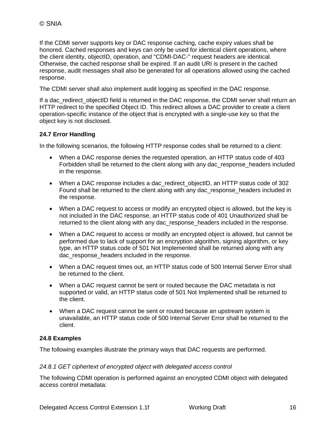If the CDMI server supports key or DAC response caching, cache expiry values shall be honored. Cached responses and keys can only be used for identical client operations, where the client identity, objectID, operation, and "CDMI-DAC-" request headers are identical. Otherwise, the cached response shall be expired. If an audit URI is present in the cached response, audit messages shall also be generated for all operations allowed using the cached response.

The CDMI server shall also implement audit logging as specified in the DAC response.

If a dac redirect objectID field is returned in the DAC response, the CDMI server shall return an HTTP redirect to the specified Object ID. This redirect allows a DAC provider to create a client operation-specific instance of the object that is encrypted with a single-use key so that the object key is not disclosed.

#### **24.7 Error Handling**

In the following scenarios, the following HTTP response codes shall be returned to a client:

- When a DAC response denies the requested operation, an HTTP status code of 403 Forbidden shall be returned to the client along with any dac\_response\_headers included in the response.
- When a DAC response includes a dac\_redirect\_objectID, an HTTP status code of 302 Found shall be returned to the client along with any dac\_response\_headers included in the response.
- When a DAC request to access or modify an encrypted object is allowed, but the key is not included in the DAC response, an HTTP status code of 401 Unauthorized shall be returned to the client along with any dac\_response\_headers included in the response.
- When a DAC request to access or modify an encrypted object is allowed, but cannot be performed due to lack of support for an encryption algorithm, signing algorithm, or key type, an HTTP status code of 501 Not Implemented shall be returned along with any dac response headers included in the response.
- When a DAC request times out, an HTTP status code of 500 Internal Server Error shall be returned to the client.
- When a DAC request cannot be sent or routed because the DAC metadata is not supported or valid, an HTTP status code of 501 Not Implemented shall be returned to the client.
- When a DAC request cannot be sent or routed because an upstream system is unavailable, an HTTP status code of 500 Internal Server Error shall be returned to the client.

#### **24.8 Examples**

The following examples illustrate the primary ways that DAC requests are performed.

#### *24.8.1 GET ciphertext of encrypted object with delegated access control*

The following CDMI operation is performed against an encrypted CDMI object with delegated access control metadata: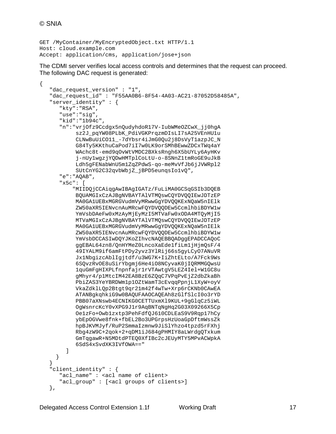```
GET /MyContainer/MyEncryptedObject.txt HTTP/1.1
Host: cloud.example.com
Accept: application/cms, application/jose+json
```
The CDMI server verifies local access controls and determines that the request can proceed. The following DAC request is generated:

```
{
    "dac_request_version" : "1",
    "dac_request_id" : "F55AA0B6-8F54-4A03-AC21-87052D58485A",
    "server_identity" : {
       "kty":"RSA",
       "use":"sig",
       "kid":"1b94c",
       "n":"vrjOfz9Ccdgx5nQudyhdoR17V-IubWMeOZCwX_jj0hgA
            sz2J_pqYW08PLbK_PdiVGKPrqzmDIsLI7sA25VEnHU1u
            CLNwBuUiCO11_-7dYbsr4iJmG0Qu2j8DsVyT1azpJC_N
            G84Ty5KKthuCaPod7iI7w0LK9orSMhBEwwZDCxTWq4aY
            WAchc8t-emd9qOvWtVMDC2BXksRngh6X5bUYLy6AyHKv
            j-nUy1wgzjYQDwHMTplCoLtU-o-8SNnZ1tmRoGE9uJkB
            Ldh5gFENabWnU5m1ZqZPdwS-qo-meMvVfJb6jJVWRpl2
            SUtCnYG2C32qvbWbjZ_jBPD5eunqsIo1vQ",
       "e":"AQAB",
       "x5c": [
           "MIIDQjCCAiqgAwIBAgIGATz/FuLiMA0GCSqGSIb3DQEB
            BQUAMGIxCzAJBgNVBAYTAlVTMQswCQYDVQQIEwJDTzEP
            MA0GA1UEBxMGRGVudmVyMRwwGgYDVQQKExNQaW5nIElk
            ZW50aXR5IENvcnAuMRcwFQYDVQQDEw5CcmlhbiBDYW1w
            YmVsbDAeFw0xMzAyMjEyMzI5MTVaFw0xODA4MTQyMjI5
            MTVaMGIxCzAJBgNVBAYTAlVTMQswCQYDVQQIEwJDTzEP
            MA0GA1UEBxMGRGVudmVyMRwwGgYDVQQKExNQaW5nIElk
            ZW50aXR5IENvcnAuMRcwFQYDVQQDEw5CcmlhbiBDYW1w
            YmVsbDCCASIwDQYJKoZIhvcNAQEBBQADggEPADCCAQoC
            ggEBAL64zn8/QnHYMeZ0LncoXaEde1fiLm1jHjmQsF/4
            49IYALM9if6amFtPDy2yvz3YlRij66s5gyLCyO7ANuVR
            Jx1NbgizcAblIgjtdf/u3WG7K+IiZhtELto/A7Fck9Ws
            6SQvzRvOE8uSirYbgmj6He4iO8NCyvaK0jIQRMMGQwsU
            1quGmFgHIXPLfnpnfajr1rVTAwtgV5LEZ4Iel+W1GC8u
            gMhyr4/p1MtcIM42EA8BzE6ZQqC7VPqPvEjZ2dbZkaBh
            PbiZAS3YeYBRDWm1p1OZtWamT3cEvqqPpnjL1XyW+oyV
            VkaZdklLQp2Btgt9qr21m42f4wTw+Xrp6rCKNb0CAwEA
            ATANBgkqhkiG9w0BAQUFAAOCAQEAh8zGlfSlcI0o3rYD
            PBB07aXNswb4ECNIKG0CETTUxmXl9KUL+9gGlqCz5iWL
            OgWsnrcKcY0vXPG9J1r9AqBNTqNgHq2G03X09266X5Cp
            Oe1zFo+Owb1zxtp3PehFdfQJ610CDLEaS9V9Rqp17hCy
            ybEpOGVwe8fnk+fbEL2Bo3UPGrpsHzUoaGpDftmWssZk
            hpBJKVMJyf/RuP2SmmaIzmnw9JiSlYhzo4tpzd5rFXhj
            Rbg4zW9C+2qok+2+qDM1iJ684gPHMIY8aLWrdgQTxkum
            GmTqgawR+N5MDtdPTEQ0XfIBc2cJEUyMTY5MPvACWpkA
            6SdS4xSvdXK3IVfOWA=="
[[]
      }
    }
    "client_identity" : {
      "acl name" : <acl name of client>
      "acl group" : [<acl groups of clients>]
    },
```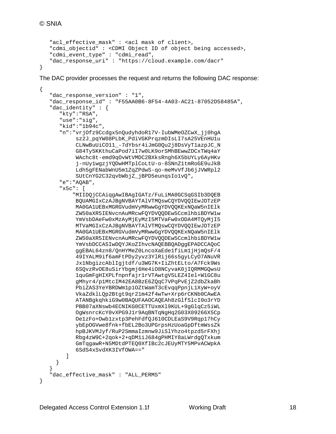```
 "acl_effective_mask" : <acl mask of client>,
    "cdmi_objectid" : <CDMI Object ID of object being accessed>,
    "cdmi_event_type" : "cdmi_read",
    "dac_response_uri" : "https://cloud.example.com/dacr"
}
```
The DAC provider processes the request and returns the following DAC response:

```
{
   "dac response version" : "1",
    "dac_response_id" : "F55AA0B6-8F54-4A03-AC21-87052D58485A",
    "dac_identity" : {
       "kty":"RSA",
       "use":"sig",
       "kid":"1b94c",
       "n":"vrjOfz9Ccdgx5nQudyhdoR17V-IubWMeOZCwX_jj0hgA
            sz2J_pqYW08PLbK_PdiVGKPrqzmDIsLI7sA25VEnHU1u
            CLNwBuUiCO11_-7dYbsr4iJmG0Qu2j8DsVyT1azpJC_N
            G84Ty5KKthuCaPod7iI7w0LK9orSMhBEwwZDCxTWq4aY
            WAchc8t-emd9qOvWtVMDC2BXksRngh6X5bUYLy6AyHKv
            j-nUy1wgzjYQDwHMTplCoLtU-o-8SNnZ1tmRoGE9uJkB
            Ldh5gFENabWnU5m1ZqZPdwS-qo-meMvVfJb6jJVWRpl2
            SUtCnYG2C32qvbWbjZ_jBPD5eunqsIo1vQ",
       "e":"AQAB",
       "x5c": [
           "MIIDQjCCAiqgAwIBAgIGATz/FuLiMA0GCSqGSIb3DQEB
            BQUAMGIxCzAJBgNVBAYTAlVTMQswCQYDVQQIEwJDTzEP
            MA0GA1UEBxMGRGVudmVyMRwwGgYDVQQKExNQaW5nIElk
            ZW50aXR5IENvcnAuMRcwFQYDVQQDEw5CcmlhbiBDYW1w
            YmVsbDAeFw0xMzAyMjEyMzI5MTVaFw0xODA4MTQyMjI5
            MTVaMGIxCzAJBgNVBAYTAlVTMQswCQYDVQQIEwJDTzEP
            MA0GA1UEBxMGRGVudmVyMRwwGgYDVQQKExNQaW5nIElk
            ZW50aXR5IENvcnAuMRcwFQYDVQQDEw5CcmlhbiBDYW1w
            YmVsbDCCASIwDQYJKoZIhvcNAQEBBQADggEPADCCAQoC
            ggEBAL64zn8/QnHYMeZ0LncoXaEde1fiLm1jHjmQsF/4
            49IYALM9if6amFtPDy2yvz3YlRij66s5gyLCyO7ANuVR
            Jx1NbgizcAblIgjtdf/u3WG7K+IiZhtELto/A7Fck9Ws
            6SQvzRvOE8uSirYbgmj6He4iO8NCyvaK0jIQRMMGQwsU
            1quGmFgHIXPLfnpnfajr1rVTAwtgV5LEZ4Iel+W1GC8u
            gMhyr4/p1MtcIM42EA8BzE6ZQqC7VPqPvEjZ2dbZkaBh
            PbiZAS3YeYBRDWm1p1OZtWamT3cEvqqPpnjL1XyW+oyV
            VkaZdklLQp2Btgt9qr21m42f4wTw+Xrp6rCKNb0CAwEA
            ATANBgkqhkiG9w0BAQUFAAOCAQEAh8zGlfSlcI0o3rYD
            PBB07aXNswb4ECNIKG0CETTUxmXl9KUL+9gGlqCz5iWL
            OgWsnrcKcY0vXPG9J1r9AqBNTqNgHq2G03X09266X5Cp
            Oe1zFo+Owb1zxtp3PehFdfQJ610CDLEaS9V9Rqp17hCy
            ybEpOGVwe8fnk+fbEL2Bo3UPGrpsHzUoaGpDftmWssZk
            hpBJKVMJyf/RuP2SmmaIzmnw9JiSlYhzo4tpzd5rFXhj
            Rbg4zW9C+2qok+2+qDM1iJ684gPHMIY8aLWrdgQTxkum
            GmTqgawR+N5MDtdPTEQ0XfIBc2cJEUyMTY5MPvACWpkA
         6SdS4xSvdXK3IVfOWA=="
 ]
      }
 }
   "dac_effective_mask" : "ALL_PERMS"
}
```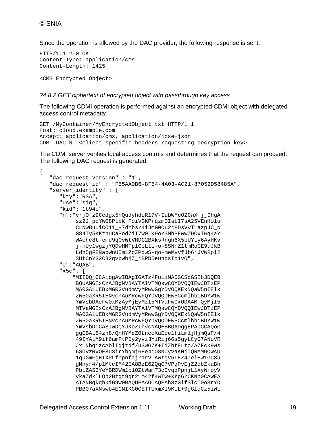Since the operation is allowed by the DAC provider, the following response is sent:

```
HTTP/1.1 200 OK
Content-Type: application/cms
Content-Length: 1425
```
<CMS Encrypted Object>

#### *24.8.2 GET ciphertext of encrypted object with passthrough key access*

The following CDMI operation is performed against an encrypted CDMI object with delegated access control metadata:

```
GET /MyContainer/MyEncryptedObject.txt HTTP/1.1
Host: cloud.example.com
Accept: application/cms, application/jose+json
CDMI-DAC-N: <client-specific headers requesting decryption key>
```
The CDMI server verifies local access controls and determines that the request can proceed. The following DAC request is generated:

```
{
  "dac request version" : "1",
   "dac_request_id" : "F55AA0B6-8F54-4A03-AC21-87052D58485A",
   "server_identity" : {
      "kty":"RSA",
       "use":"sig",
       "kid":"1b94c",
       "n":"vrjOfz9Ccdgx5nQudyhdoR17V-IubWMeOZCwX_jj0hgA
            sz2J_pqYW08PLbK_PdiVGKPrqzmDIsLI7sA25VEnHU1u
            CLNwBuUiCO11_-7dYbsr4iJmG0Qu2j8DsVyT1azpJC_N
            G84Ty5KKthuCaPod7iI7w0LK9orSMhBEwwZDCxTWq4aY
            WAchc8t-emd9qOvWtVMDC2BXksRngh6X5bUYLy6AyHKv
            j-nUy1wgzjYQDwHMTplCoLtU-o-8SNnZ1tmRoGE9uJkB
            Ldh5gFENabWnU5m1ZqZPdwS-qo-meMvVfJb6jJVWRpl2
            SUtCnYG2C32qvbWbjZ_jBPD5eunqsIo1vQ",
       "e":"AQAB",
       "x5c": [
           "MIIDQjCCAiqgAwIBAgIGATz/FuLiMA0GCSqGSIb3DQEB
            BQUAMGIxCzAJBgNVBAYTAlVTMQswCQYDVQQIEwJDTzEP
            MA0GA1UEBxMGRGVudmVyMRwwGgYDVQQKExNQaW5nIElk
            ZW50aXR5IENvcnAuMRcwFQYDVQQDEw5CcmlhbiBDYW1w
            YmVsbDAeFw0xMzAyMjEyMzI5MTVaFw0xODA4MTQyMjI5
            MTVaMGIxCzAJBgNVBAYTAlVTMQswCQYDVQQIEwJDTzEP
            MA0GA1UEBxMGRGVudmVyMRwwGgYDVQQKExNQaW5nIElk
            ZW50aXR5IENvcnAuMRcwFQYDVQQDEw5CcmlhbiBDYW1w
            YmVsbDCCASIwDQYJKoZIhvcNAQEBBQADggEPADCCAQoC
            ggEBAL64zn8/QnHYMeZ0LncoXaEde1fiLm1jHjmQsF/4
            49IYALM9if6amFtPDy2yvz3YlRij66s5gyLCyO7ANuVR
            Jx1NbgizcAblIgjtdf/u3WG7K+IiZhtELto/A7Fck9Ws
            6SQvzRvOE8uSirYbgmj6He4iO8NCyvaK0jIQRMMGQwsU
            1quGmFgHIXPLfnpnfajr1rVTAwtgV5LEZ4Iel+W1GC8u
            gMhyr4/p1MtcIM42EA8BzE6ZQqC7VPqPvEjZ2dbZkaBh
            PbiZAS3YeYBRDWm1p1OZtWamT3cEvqqPpnjL1XyW+oyV
            VkaZdklLQp2Btgt9qr21m42f4wTw+Xrp6rCKNb0CAwEA
            ATANBgkqhkiG9w0BAQUFAAOCAQEAh8zGlfSlcI0o3rYD
            PBB07aXNswb4ECNIKG0CETTUxmXl9KUL+9gGlqCz5iWL
```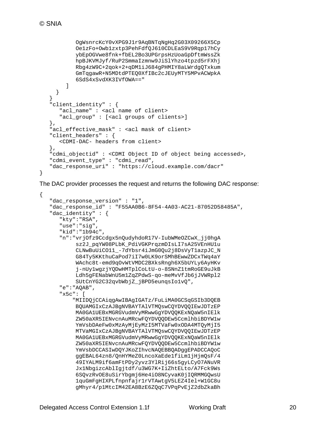}

{

```
 OgWsnrcKcY0vXPG9J1r9AqBNTqNgHq2G03X09266X5Cp
            Oe1zFo+Owb1zxtp3PehFdfQJ610CDLEaS9V9Rqp17hCy
            ybEpOGVwe8fnk+fbEL2Bo3UPGrpsHzUoaGpDftmWssZk
            hpBJKVMJyf/RuP2SmmaIzmnw9JiSlYhzo4tpzd5rFXhj
            Rbg4zW9C+2qok+2+qDM1iJ684gPHMIY8aLWrdgQTxkum
            GmTqgawR+N5MDtdPTEQ0XfIBc2cJEUyMTY5MPvACWpkA
         6SdS4xSvdXK3IVfOWA=="
[[]
   \begin{matrix} \downarrow \\ \downarrow \end{matrix} }
    "client_identity" : {
       "acl_name" : <acl name of client>
       "acl_group" : [<acl groups of clients>]
    },
    "acl_effective_mask" : <acl mask of client>
   "client headers" : {
       <CDMI-DAC- headers from client>
    },
    "cdmi_objectid" : <CDMI Object ID of object being accessed>,
    "cdmi_event_type" : "cdmi_read",
    "dac_response_uri" : "https://cloud.example.com/dacr"
```
The DAC provider processes the request and returns the following DAC response:

```
"dac response version" : "1",
 "dac_response_id" : "F55AA0B6-8F54-4A03-AC21-87052D58485A",
 "dac_identity" : {
    "kty":"RSA",
    "use":"sig",
    "kid":"1b94c",
    "n":"vrjOfz9Ccdgx5nQudyhdoR17V-IubWMeOZCwX_jj0hgA
         sz2J_pqYW08PLbK_PdiVGKPrqzmDIsLI7sA25VEnHU1u
         CLNwBuUiCO11_-7dYbsr4iJmG0Qu2j8DsVyT1azpJC_N
         G84Ty5KKthuCaPod7iI7w0LK9orSMhBEwwZDCxTWq4aY
         WAchc8t-emd9qOvWtVMDC2BXksRngh6X5bUYLy6AyHKv
         j-nUy1wgzjYQDwHMTplCoLtU-o-8SNnZ1tmRoGE9uJkB
         Ldh5gFENabWnU5m1ZqZPdwS-qo-meMvVfJb6jJVWRpl2
         SUtCnYG2C32qvbWbjZ_jBPD5eunqsIo1vQ",
    "e":"AQAB",
    "x5c": [
        "MIIDQjCCAiqgAwIBAgIGATz/FuLiMA0GCSqGSIb3DQEB
         BQUAMGIxCzAJBgNVBAYTAlVTMQswCQYDVQQIEwJDTzEP
         MA0GA1UEBxMGRGVudmVyMRwwGgYDVQQKExNQaW5nIElk
         ZW50aXR5IENvcnAuMRcwFQYDVQQDEw5CcmlhbiBDYW1w
         YmVsbDAeFw0xMzAyMjEyMzI5MTVaFw0xODA4MTQyMjI5
         MTVaMGIxCzAJBgNVBAYTAlVTMQswCQYDVQQIEwJDTzEP
         MA0GA1UEBxMGRGVudmVyMRwwGgYDVQQKExNQaW5nIElk
         ZW50aXR5IENvcnAuMRcwFQYDVQQDEw5CcmlhbiBDYW1w
         YmVsbDCCASIwDQYJKoZIhvcNAQEBBQADggEPADCCAQoC
         ggEBAL64zn8/QnHYMeZ0LncoXaEde1fiLm1jHjmQsF/4
         49IYALM9if6amFtPDy2yvz3YlRij66s5gyLCyO7ANuVR
         Jx1NbgizcAblIgjtdf/u3WG7K+IiZhtELto/A7Fck9Ws
         6SQvzRvOE8uSirYbgmj6He4iO8NCyvaK0jIQRMMGQwsU
         1quGmFgHIXPLfnpnfajr1rVTAwtgV5LEZ4Iel+W1GC8u
         gMhyr4/p1MtcIM42EA8BzE6ZQqC7VPqPvEjZ2dbZkaBh
```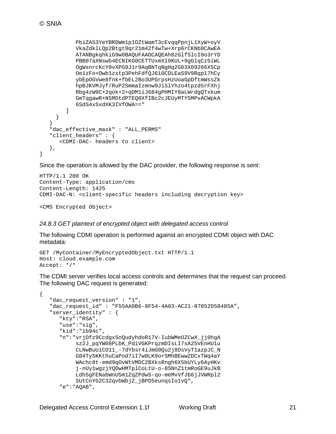}

```
 PbiZAS3YeYBRDWm1p1OZtWamT3cEvqqPpnjL1XyW+oyV
           VkaZdklLQp2Btgt9qr21m42f4wTw+Xrp6rCKNb0CAwEA
           ATANBgkqhkiG9w0BAQUFAAOCAQEAh8zGlfSlcI0o3rYD
           PBB07aXNswb4ECNIKG0CETTUxmXl9KUL+9gGlqCz5iWL
           OgWsnrcKcY0vXPG9J1r9AqBNTqNgHq2G03X09266X5Cp
           Oe1zFo+Owb1zxtp3PehFdfQJ610CDLEaS9V9Rqp17hCy
           ybEpOGVwe8fnk+fbEL2Bo3UPGrpsHzUoaGpDftmWssZk
           hpBJKVMJyf/RuP2SmmaIzmnw9JiSlYhzo4tpzd5rFXhj
           Rbg4zW9C+2qok+2+qDM1iJ684gPHMIY8aLWrdgQTxkum
            GmTqgawR+N5MDtdPTEQ0XfIBc2cJEUyMTY5MPvACWpkA
         6SdS4xSvdXK3IVfOWA=="
[[]
     }
   }
   "dac_effective_mask" : "ALL_PERMS"
    "client_headers" : {
      <CDMI-DAC- headers to client>
   },
```
Since the operation is allowed by the DAC provider, the following response is sent:

```
HTTP/1.1 200 OK
Content-Type: application/cms
Content-Length: 1425
CDMI-DAC-N: <client-specific headers including decryption key>
```
<CMS Encrypted Object>

#### *24.8.3 GET plaintext of encrypted object with delegated access control*

The following CDMI operation is performed against an encrypted CDMI object with DAC metadata:

```
GET /MyContainer/MyEncryptedObject.txt HTTP/1.1
Host: cloud.example.com
Accept: */*
```
The CDMI server verifies local access controls and determines that the request can proceed. The following DAC request is generated:

```
{
   "dac_request_version" : "1",
   "dac_request_id" : "F55AA0B6-8F54-4A03-AC21-87052D58485A",
  "server_identity" : {
      "kty":"RSA",
      "use":"sig",
       "kid":"1b94c",
       "n":"vrjOfz9Ccdgx5nQudyhdoR17V-IubWMeOZCwX_jj0hgA
            sz2J_pqYW08PLbK_PdiVGKPrqzmDIsLI7sA25VEnHU1u
            CLNwBuUiCO11_-7dYbsr4iJmG0Qu2j8DsVyT1azpJC_N
            G84Ty5KKthuCaPod7iI7w0LK9orSMhBEwwZDCxTWq4aY
            WAchc8t-emd9qOvWtVMDC2BXksRngh6X5bUYLy6AyHKv
            j-nUy1wgzjYQDwHMTplCoLtU-o-8SNnZ1tmRoGE9uJkB
            Ldh5gFENabWnU5m1ZqZPdwS-qo-meMvVfJb6jJVWRpl2
            SUtCnYG2C32qvbWbjZ_jBPD5eunqsIo1vQ",
       "e":"AQAB",
```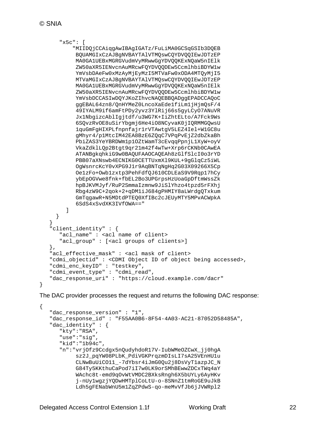```
 "x5c": [
           "MIIDQjCCAiqgAwIBAgIGATz/FuLiMA0GCSqGSIb3DQEB
            BQUAMGIxCzAJBgNVBAYTAlVTMQswCQYDVQQIEwJDTzEP
           MA0GA1UEBxMGRGVudmVyMRwwGgYDVQQKExNQaW5nIElk
            ZW50aXR5IENvcnAuMRcwFQYDVQQDEw5CcmlhbiBDYW1w
           YmVsbDAeFw0xMzAyMjEyMzI5MTVaFw0xODA4MTQyMjI5
           MTVaMGIxCzAJBgNVBAYTAlVTMQswCQYDVQQIEwJDTzEP
           MA0GA1UEBxMGRGVudmVyMRwwGgYDVQQKExNQaW5nIElk
            ZW50aXR5IENvcnAuMRcwFQYDVQQDEw5CcmlhbiBDYW1w
           YmVsbDCCASIwDQYJKoZIhvcNAQEBBQADggEPADCCAQoC
           ggEBAL64zn8/QnHYMeZ0LncoXaEde1fiLm1jHjmQsF/4
            49IYALM9if6amFtPDy2yvz3YlRij66s5gyLCyO7ANuVR
           Jx1NbgizcAblIgjtdf/u3WG7K+IiZhtELto/A7Fck9Ws
            6SQvzRvOE8uSirYbgmj6He4iO8NCyvaK0jIQRMMGQwsU
            1quGmFgHIXPLfnpnfajr1rVTAwtgV5LEZ4Iel+W1GC8u
            gMhyr4/p1MtcIM42EA8BzE6ZQqC7VPqPvEjZ2dbZkaBh
            PbiZAS3YeYBRDWm1p1OZtWamT3cEvqqPpnjL1XyW+oyV
           VkaZdklLQp2Btgt9qr21m42f4wTw+Xrp6rCKNb0CAwEA
           ATANBgkqhkiG9w0BAQUFAAOCAQEAh8zGlfSlcI0o3rYD
           PBB07aXNswb4ECNIKG0CETTUxmXl9KUL+9gGlqCz5iWL
           OgWsnrcKcY0vXPG9J1r9AqBNTqNgHq2G03X09266X5Cp
           Oe1zFo+Owb1zxtp3PehFdfQJ610CDLEaS9V9Rqp17hCy
           ybEpOGVwe8fnk+fbEL2Bo3UPGrpsHzUoaGpDftmWssZk
           hpBJKVMJyf/RuP2SmmaIzmnw9JiSlYhzo4tpzd5rFXhj
           Rbg4zW9C+2qok+2+qDM1iJ684gPHMIY8aLWrdgQTxkum
           GmTqgawR+N5MDtdPTEQ0XfIBc2cJEUyMTY5MPvACWpkA
         6SdS4xSvdXK3IVfOWA=="
 ]
      }
 }
    "client_identity" : {
       "acl_name" : <acl name of client>
       "acl_group" : [<acl groups of clients>]
   },
   "acl_effective_mask" : <acl mask of client>
   "cdmi_objectid" : <CDMI Object ID of object being accessed>,
   "cdmi_enc_keyID" : "testkey",
   "cdmi_event_type" : "cdmi_read",
   "dac_response_uri" : "https://cloud.example.com/dacr"
}
```
The DAC provider processes the request and returns the following DAC response:

```
{
    "dac_response_version" : "1",
    "dac_response_id" : "F55AA0B6-8F54-4A03-AC21-87052D58485A",
   "dac_identity" : {
       "kty":"RSA",
       "use":"sig",
       "kid":"1b94c",
       "n":"vrjOfz9Ccdgx5nQudyhdoR17V-IubWMeOZCwX_jj0hgA
            sz2J_pqYW08PLbK_PdiVGKPrqzmDIsLI7sA25VEnHU1u
            CLNwBuUiCO11_-7dYbsr4iJmG0Qu2j8DsVyT1azpJC_N
            G84Ty5KKthuCaPod7iI7w0LK9orSMhBEwwZDCxTWq4aY
            WAchc8t-emd9qOvWtVMDC2BXksRngh6X5bUYLy6AyHKv
            j-nUy1wgzjYQDwHMTplCoLtU-o-8SNnZ1tmRoGE9uJkB
            Ldh5gFENabWnU5m1ZqZPdwS-qo-meMvVfJb6jJVWRpl2
```